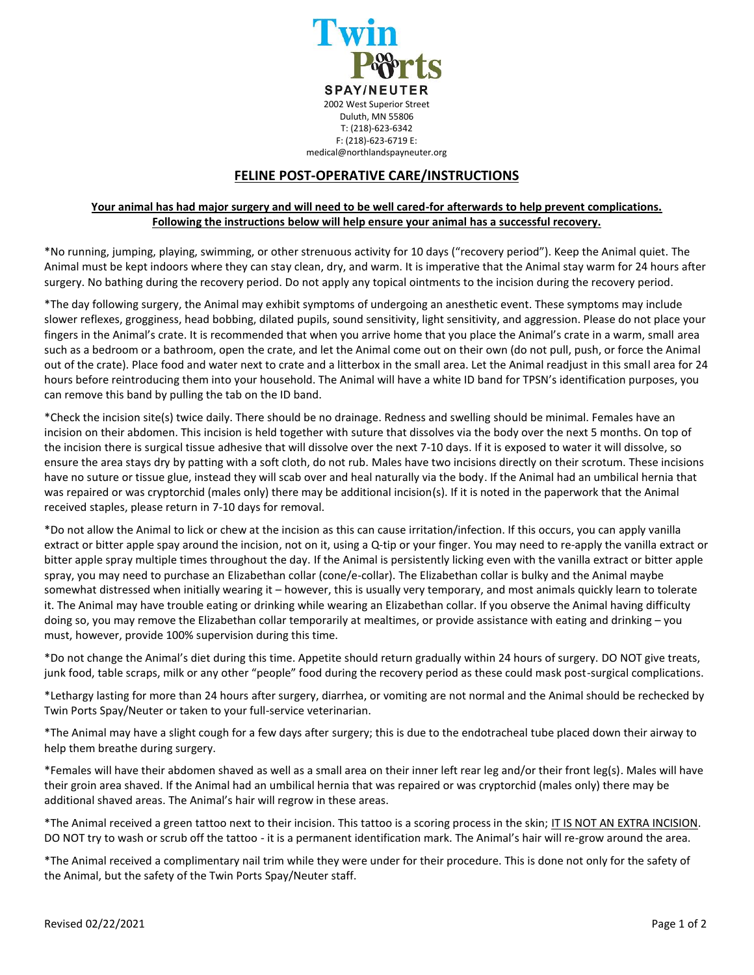

## **FELINE POST-OPERATIVE CARE/INSTRUCTIONS**

## **Your animal has had major surgery and will need to be well cared-for afterwards to help prevent complications. Following the instructions below will help ensure your animal has a successful recovery.**

\*No running, jumping, playing, swimming, or other strenuous activity for 10 days ("recovery period"). Keep the Animal quiet. The Animal must be kept indoors where they can stay clean, dry, and warm. It is imperative that the Animal stay warm for 24 hours after surgery. No bathing during the recovery period. Do not apply any topical ointments to the incision during the recovery period.

\*The day following surgery, the Animal may exhibit symptoms of undergoing an anesthetic event. These symptoms may include slower reflexes, grogginess, head bobbing, dilated pupils, sound sensitivity, light sensitivity, and aggression. Please do not place your fingers in the Animal's crate. It is recommended that when you arrive home that you place the Animal's crate in a warm, small area such as a bedroom or a bathroom, open the crate, and let the Animal come out on their own (do not pull, push, or force the Animal out of the crate). Place food and water next to crate and a litterbox in the small area. Let the Animal readjust in this small area for 24 hours before reintroducing them into your household. The Animal will have a white ID band for TPSN's identification purposes, you can remove this band by pulling the tab on the ID band.

\*Check the incision site(s) twice daily. There should be no drainage. Redness and swelling should be minimal. Females have an incision on their abdomen. This incision is held together with suture that dissolves via the body over the next 5 months. On top of the incision there is surgical tissue adhesive that will dissolve over the next 7-10 days. If it is exposed to water it will dissolve, so ensure the area stays dry by patting with a soft cloth, do not rub. Males have two incisions directly on their scrotum. These incisions have no suture or tissue glue, instead they will scab over and heal naturally via the body. If the Animal had an umbilical hernia that was repaired or was cryptorchid (males only) there may be additional incision(s). If it is noted in the paperwork that the Animal received staples, please return in 7-10 days for removal.

\*Do not allow the Animal to lick or chew at the incision as this can cause irritation/infection. If this occurs, you can apply vanilla extract or bitter apple spay around the incision, not on it, using a Q-tip or your finger. You may need to re-apply the vanilla extract or bitter apple spray multiple times throughout the day. If the Animal is persistently licking even with the vanilla extract or bitter apple spray, you may need to purchase an Elizabethan collar (cone/e-collar). The Elizabethan collar is bulky and the Animal maybe somewhat distressed when initially wearing it – however, this is usually very temporary, and most animals quickly learn to tolerate it. The Animal may have trouble eating or drinking while wearing an Elizabethan collar. If you observe the Animal having difficulty doing so, you may remove the Elizabethan collar temporarily at mealtimes, or provide assistance with eating and drinking – you must, however, provide 100% supervision during this time.

\*Do not change the Animal's diet during this time. Appetite should return gradually within 24 hours of surgery. DO NOT give treats, junk food, table scraps, milk or any other "people" food during the recovery period as these could mask post-surgical complications.

\*Lethargy lasting for more than 24 hours after surgery, diarrhea, or vomiting are not normal and the Animal should be rechecked by Twin Ports Spay/Neuter or taken to your full-service veterinarian.

\*The Animal may have a slight cough for a few days after surgery; this is due to the endotracheal tube placed down their airway to help them breathe during surgery.

\*Females will have their abdomen shaved as well as a small area on their inner left rear leg and/or their front leg(s). Males will have their groin area shaved. If the Animal had an umbilical hernia that was repaired or was cryptorchid (males only) there may be additional shaved areas. The Animal's hair will regrow in these areas.

\*The Animal received a green tattoo next to their incision. This tattoo is a scoring process in the skin; IT IS NOT AN EXTRA INCISION. DO NOT try to wash or scrub off the tattoo - it is a permanent identification mark. The Animal's hair will re-grow around the area.

\*The Animal received a complimentary nail trim while they were under for their procedure. This is done not only for the safety of the Animal, but the safety of the Twin Ports Spay/Neuter staff.